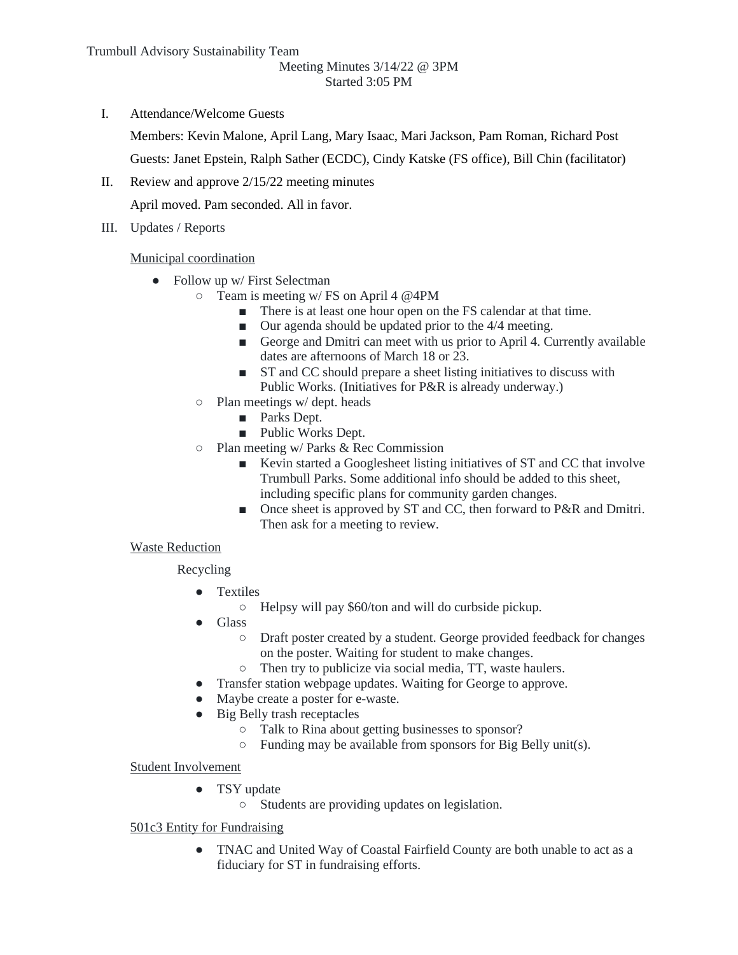#### Meeting Minutes 3/14/22 @ 3PM Started 3:05 PM

I. Attendance/Welcome Guests

Members: Kevin Malone, April Lang, Mary Isaac, Mari Jackson, Pam Roman, Richard Post

Guests: Janet Epstein, Ralph Sather (ECDC), Cindy Katske (FS office), Bill Chin (facilitator)

II. Review and approve 2/15/22 meeting minutes

April moved. Pam seconded. All in favor.

III. Updates / Reports

Municipal coordination

- Follow up w/ First Selectman
	- Team is meeting w/ FS on April 4 @4PM
		- There is at least one hour open on the FS calendar at that time.
		- Our agenda should be updated prior to the 4/4 meeting.
		- George and Dmitri can meet with us prior to April 4. Currently available dates are afternoons of March 18 or 23.
		- ST and CC should prepare a sheet listing initiatives to discuss with Public Works. (Initiatives for P&R is already underway.)
	- Plan meetings w/ dept. heads
		- Parks Dept.
		- Public Works Dept.
	- Plan meeting w/ Parks & Rec Commission
		- Kevin started a Googlesheet listing initiatives of ST and CC that involve Trumbull Parks. Some additional info should be added to this sheet, including specific plans for community garden changes.
		- Once sheet is approved by ST and CC, then forward to P&R and Dmitri. Then ask for a meeting to review.

## Waste Reduction

Recycling

- Textiles
	- Helpsy will pay \$60/ton and will do curbside pickup.
- Glass
	- Draft poster created by a student. George provided feedback for changes on the poster. Waiting for student to make changes.
	- Then try to publicize via social media, TT, waste haulers.
- Transfer station webpage updates. Waiting for George to approve.
- Maybe create a poster for e-waste.
- Big Belly trash receptacles
	- Talk to Rina about getting businesses to sponsor?
	- $\circ$  Funding may be available from sponsors for Big Belly unit(s).

## Student Involvement

- TSY update
	- Students are providing updates on legislation.

## 501c3 Entity for Fundraising

● TNAC and United Way of Coastal Fairfield County are both unable to act as a fiduciary for ST in fundraising efforts.